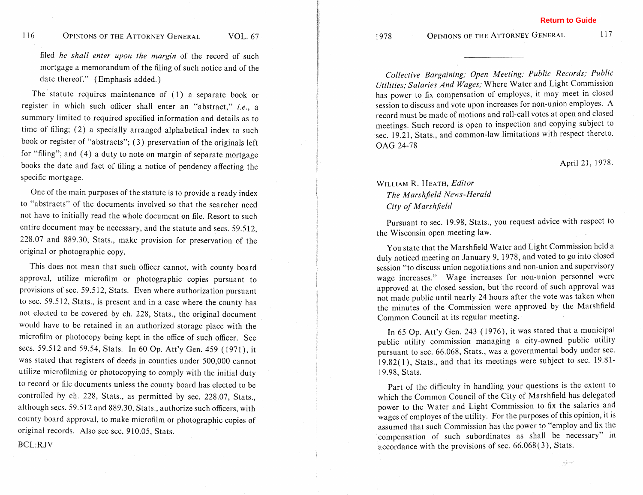filed *he shall enter upon the margin* of the record of such mortgage a memorandum of the filing of such notice and of the date thereof." (Emphasis added.)

The statute requires maintenance of (1) a separate book or register in which such officer shall enter an "abstract," *i.e.,* a summary limited to required specified information and details as to time of filing; (2) a specially arranged alphabetical index to such book or register of "abstracts"; (3) preservation of the originals left for "filing"; and (4) a duty to note on margin of separate mortgage books the date and fact of filing a notice of pendency affecting the specific mortgage.

One of the main purposes of the statute is to provide a ready index to "abstracts" of the documents involved so that the searcher need not have to initially read the whole document on file. Resort to such entire document may be necessary, and the statute and secs. 59.5 12, 228.07 and 889.30, Stats., make provision for preservation of the original or photographic copy.

This does not mean that such officer cannot, with county board approval, utilize microfilm or photographic copies pursuant to provisions of sec. 59.5 12, Stats. Even where authorization pursuant to sec. 59.512, Stats., is present and in a case where the county has not elected to be covered by ch. 228, Stats., the original document would have to be retained in an authorized storage place with the microfilm or photocopy being kept in the office of such officer. See secs. 59.512 and 59.54, Stats. In 60 Op. Att'y Gen. 459 ( 1971 ), it was stated that registers of deeds in counties under 500,000 cannot utilize microfilming or photocopying to comply with the initial duty to record or file documents unless the county board has elected to be controlled by ch. 228, Stats., as permitted by sec. 228.07, Stats., although secs. 59.512 and 889.30, Stats., authorize such officers, with county board approval, to make microfilm or photographic copies of original records. Also see sec. 910.05, Stats.

BCL:RJV

OPINIONS OF THE ATTORNEY GENERAL

1978

117

*Collective Bargaining; Open Meeting; Public Records; Public Utilities; Salaries And Wages;* Where Water and Light Commission has power to fix compensation of employes, it may meet in closed session to discuss and vote upon increases for non-union employes. A record must be made of motions and roll-call votes at open and closed meetings. Such record is open to inspection and copying subject to sec. 19.21, Stats., and common-law limitations with respect thereto. **OAG** 24-78

#### April 21, 1978.

# WILLIAM R. HEATH, *Editor The Marshjeld News-Herald City of Marshjeld*

Pursuant to sec. 19.98, Stats., you request advice with respect to the Wisconsin open meeting law.

You state that the Marshfield Water and Light Commission held a duly noticed meeting on January 9, 1978, and voted to go into closed session "to discuss union negotiations and non-union and supervisory wage increases." Wage increases for non-union personnel were approved at the closed session, but the record of such approval was not made public until nearly 24 hours after the vote was taken when the minutes of the Commission were approved by the Marshfield Common Council at its regular meeting.

In 65 Op. Att'y Gen. 243 (1976), it was stated that a municipal public utility commission managing a city-owned public utility pursuant to sec. 66.068, Stats., was a governmental body under sec. 19.82(1), Stats., and that its meetings were subject to sec. 19.81- 19.98, Stats.

Part of the difficulty in handling your questions is the extent to which the Common Council of the City of Marshfield has delegated power to the Water and Light Commission to fix the salaries and wages of employes of the utility. For the purposes of this opinion, it is assumed that such Commission has the power to "employ and fix the compensation of such subordinates as shall be necessary" in accordance with the provisions of sec. 66.068(3), Stats.

sine.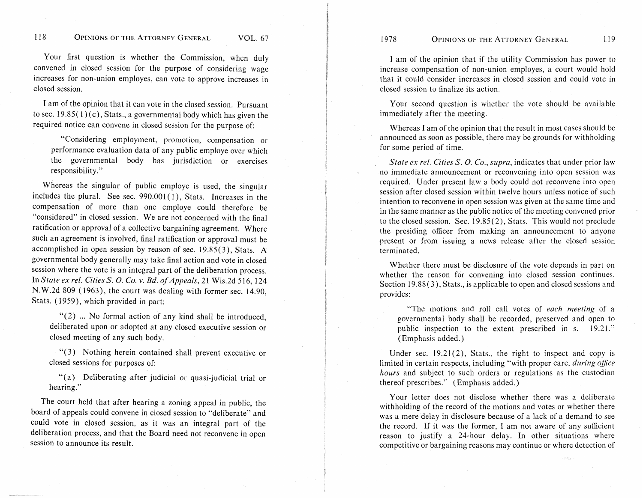1978

#### **OPINIONS OF THE ATTORNEY GENERAL**  $119$

Your first question is whether the Commission, when duly convened in closed session for the purpose of considering wage increases for non-union employes, can vote to approve increases in closed session.

I am of the opinion that it can vote in the closed session. Pursuant to sec.  $19.85(1)(c)$ , Stats., a governmental body which has given the required notice can convene in closed session for the purpose of:

"Considering employment, promotion, compensation or performance evaluation data of any public employe over which the governmental body has jurisdiction or exercises responsibility."

Whereas the singular of public employe is used, the singular includes the plural. See sec.  $990.001(1)$ , Stats. Increases in the compensation of more than one employe could therefore be "considered" in closed session. We are not concerned with the final ratification or approval of a collective bargaining agreement. Where such an agreement is involved, final ratification or approval must be accomplished in open session by reason of sec. 19.85(3), Stats. **A**  governmental body generally may take final action and vote in closed session where the vote is an integral part of the deliberation process. In *State ex rel. Cities S.* 0. *Co. v. Bd. of Appeals, 2* 1 Wis.2d 5 1 6, 124 N.W.2d 809 ( 1963), the court was dealing with former sec. 14.90, Stats. ( 1959), which provided in part:

 $\lq(2)$  ... No formal action of any kind shall be introduced, deliberated upon or adopted at any closed executive session or closed meeting of any such body.

**"(3)** Nothing herein contained shall prevent executive or closed sessions for purposes of:

"(a) Deliberating after judicial or quasi-judicial trial or hearing."

The court held that after hearing a zoning appeal in public, the board of appeals could convene in closed session to "deliberate" and could vote in closed session, as it was an integral part of the deliberation process, and that the Board need not reconvene in open session to announce its result.

I am of the opinion that if the utility Commission has power to increase compensation of non-union employes, a court would hold that it could consider increases in closed session and could vote in closed session to finalize its action.

Your second question is whether the vote should be available immediately after the meeting.

Whereas I am of the opinion that the result in most cases should be announced as soon as possible, there may be grounds for withholding for some period of time.

*State ex rel. Cities S. O. Co., supra,* indicates that under prior law no immediate announcement or reconvening into open session was required. Under present law a body could not reconvene into open session after closed session within twelve hours unless notice of such intention to reconvene in open session was given at the same time and in the same manner as the public notice of the meeting convened prior to the closed session. Sec. 19.85(2), Stats. This would not preclude the presiding officer from making an announcement to anyone present or from issuing a news release after the closed session terminated.

Whether there must be disclosure of the vote depends in part on whether the reason for convening into closed session continues. Section 19.88(3), Stats., is applicable to open and closed sessions and provides:

"The motions and roll call votes of *each meeting* of a governmental body shall be recorded, preserved and open to public inspection to the extent prescribed in s. 19.21." ( Emphasis added. )

Under sec.  $19.21(2)$ , Stats., the right to inspect and copy is limited in certain respects, including "with proper care, *during office hours* and subject to such orders or regulations as the custodian thereof prescribes." (Emphasis added.)

Your letter does not disclose whether there was a deliberate withholding of the record of the motions and votes or whether there was a mere delay in disclosure because of a lack of a demand to see the record. If it was the former, I am not aware of any sufficient reason to justify a 24-hour delay. In other situations where competitive or bargaining reasons may continue or where detection of